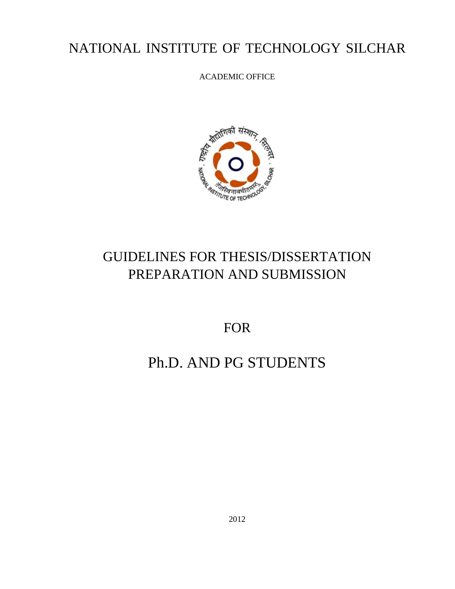# NATIONAL INSTITUTE OF TECHNOLOGY SILCHAR

ACADEMIC OFFICE



# GUIDELINES FOR THESIS/DISSERTATION PREPARATION AND SUBMISSION

FOR

# Ph.D. AND PG STUDENTS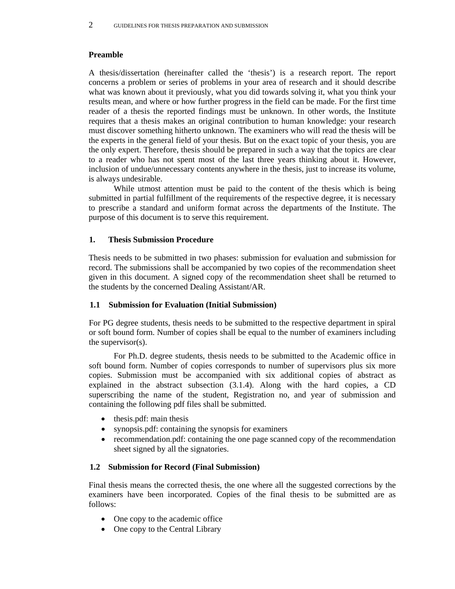#### **Preamble**

A thesis/dissertation (hereinafter called the 'thesis') is a research report. The report concerns a problem or series of problems in your area of research and it should describe what was known about it previously, what you did towards solving it, what you think your results mean, and where or how further progress in the field can be made. For the first time reader of a thesis the reported findings must be unknown. In other words, the Institute requires that a thesis makes an original contribution to human knowledge: your research must discover something hitherto unknown. The examiners who will read the thesis will be the experts in the general field of your thesis. But on the exact topic of your thesis, you are the only expert. Therefore, thesis should be prepared in such a way that the topics are clear to a reader who has not spent most of the last three years thinking about it. However, inclusion of undue/unnecessary contents anywhere in the thesis, just to increase its volume, is always undesirable.

 While utmost attention must be paid to the content of the thesis which is being submitted in partial fulfillment of the requirements of the respective degree, it is necessary to prescribe a standard and uniform format across the departments of the Institute. The purpose of this document is to serve this requirement.

#### **1. Thesis Submission Procedure**

Thesis needs to be submitted in two phases: submission for evaluation and submission for record. The submissions shall be accompanied by two copies of the recommendation sheet given in this document. A signed copy of the recommendation sheet shall be returned to the students by the concerned Dealing Assistant/AR.

#### **1.1 Submission for Evaluation (Initial Submission)**

For PG degree students, thesis needs to be submitted to the respective department in spiral or soft bound form. Number of copies shall be equal to the number of examiners including the supervisor(s).

For Ph.D. degree students, thesis needs to be submitted to the Academic office in soft bound form. Number of copies corresponds to number of supervisors plus six more copies. Submission must be accompanied with six additional copies of abstract as explained in the abstract subsection (3.1.4). Along with the hard copies, a CD superscribing the name of the student, Registration no, and year of submission and containing the following pdf files shall be submitted.

- thesis.pdf: main thesis
- synopsis.pdf: containing the synopsis for examiners
- recommendation.pdf: containing the one page scanned copy of the recommendation sheet signed by all the signatories.

#### **1.2 Submission for Record (Final Submission)**

Final thesis means the corrected thesis, the one where all the suggested corrections by the examiners have been incorporated. Copies of the final thesis to be submitted are as follows:

- One copy to the academic office
- One copy to the Central Library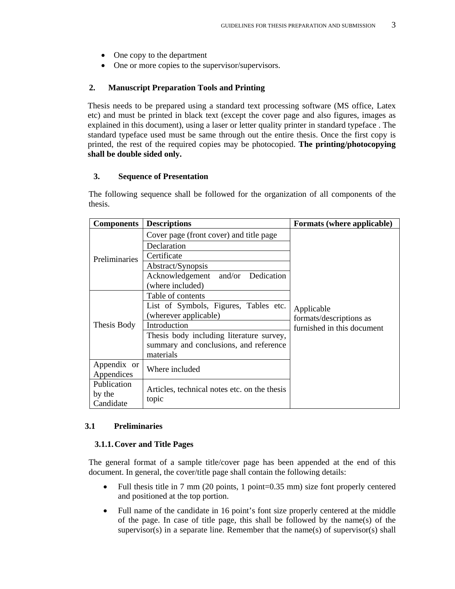- One copy to the department
- One or more copies to the supervisor/supervisors.

#### **2. Manuscript Preparation Tools and Printing**

Thesis needs to be prepared using a standard text processing software (MS office, Latex etc) and must be printed in black text (except the cover page and also figures, images as explained in this document), using a laser or letter quality printer in standard typeface . The standard typeface used must be same through out the entire thesis. Once the first copy is printed, the rest of the required copies may be photocopied. **The printing/photocopying shall be double sided only.** 

#### **3. Sequence of Presentation**

The following sequence shall be followed for the organization of all components of the thesis.

| <b>Components</b> | <b>Descriptions</b>                          | Formats (where applicable)                                          |
|-------------------|----------------------------------------------|---------------------------------------------------------------------|
| Preliminaries     | Cover page (front cover) and title page      | Applicable<br>formats/descriptions as<br>furnished in this document |
|                   | Declaration                                  |                                                                     |
|                   | Certificate                                  |                                                                     |
|                   | Abstract/Synopsis                            |                                                                     |
|                   | Acknowledgement and/or Dedication            |                                                                     |
|                   | (where included)                             |                                                                     |
| Thesis Body       | Table of contents                            |                                                                     |
|                   | List of Symbols, Figures, Tables etc.        |                                                                     |
|                   | (wherever applicable)                        |                                                                     |
|                   | Introduction                                 |                                                                     |
|                   | Thesis body including literature survey,     |                                                                     |
|                   | summary and conclusions, and reference       |                                                                     |
|                   | materials                                    |                                                                     |
| Appendix or       | Where included                               |                                                                     |
| Appendices        |                                              |                                                                     |
| Publication       | Articles, technical notes etc. on the thesis |                                                                     |
| by the            | topic                                        |                                                                     |
| Candidate         |                                              |                                                                     |

#### **3.1 Preliminaries**

#### **3.1.1.Cover and Title Pages**

The general format of a sample title/cover page has been appended at the end of this document. In general, the cover/title page shall contain the following details:

- Full thesis title in 7 mm (20 points, 1 point=0.35 mm) size font properly centered and positioned at the top portion.
- Full name of the candidate in 16 point's font size properly centered at the middle of the page. In case of title page, this shall be followed by the name(s) of the supervisor(s) in a separate line. Remember that the name(s) of supervisor(s) shall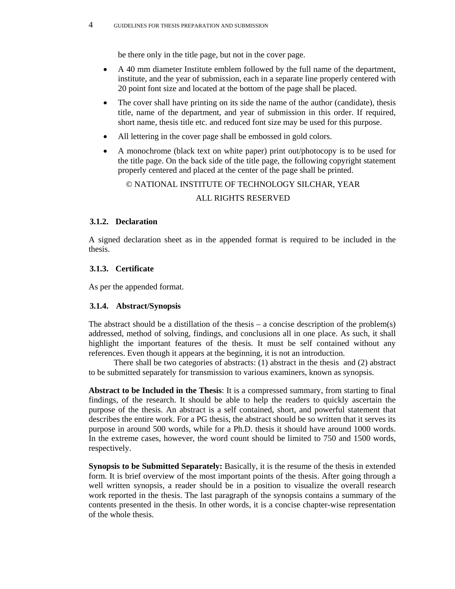be there only in the title page, but not in the cover page.

- A 40 mm diameter Institute emblem followed by the full name of the department, institute, and the year of submission, each in a separate line properly centered with 20 point font size and located at the bottom of the page shall be placed.
- The cover shall have printing on its side the name of the author (candidate), thesis title, name of the department, and year of submission in this order. If required, short name, thesis title etc. and reduced font size may be used for this purpose.
- All lettering in the cover page shall be embossed in gold colors.
- A monochrome (black text on white paper) print out/photocopy is to be used for the title page. On the back side of the title page, the following copyright statement properly centered and placed at the center of the page shall be printed.

© NATIONAL INSTITUTE OF TECHNOLOGY SILCHAR, YEAR

#### ALL RIGHTS RESERVED

#### **3.1.2. Declaration**

A signed declaration sheet as in the appended format is required to be included in the thesis.

#### **3.1.3. Certificate**

As per the appended format.

#### **3.1.4. Abstract/Synopsis**

The abstract should be a distillation of the thesis – a concise description of the problem(s) addressed, method of solving, findings, and conclusions all in one place. As such, it shall highlight the important features of the thesis. It must be self contained without any references. Even though it appears at the beginning, it is not an introduction.

 There shall be two categories of abstracts: (1) abstract in the thesis and (2) abstract to be submitted separately for transmission to various examiners, known as synopsis.

**Abstract to be Included in the Thesis**: It is a compressed summary, from starting to final findings, of the research. It should be able to help the readers to quickly ascertain the purpose of the thesis. An abstract is a self contained, short, and powerful statement that describes the entire work. For a PG thesis, the abstract should be so written that it serves its purpose in around 500 words, while for a Ph.D. thesis it should have around 1000 words. In the extreme cases, however, the word count should be limited to 750 and 1500 words, respectively.

**Synopsis to be Submitted Separately:** Basically, it is the resume of the thesis in extended form. It is brief overview of the most important points of the thesis. After going through a well written synopsis, a reader should be in a position to visualize the overall research work reported in the thesis. The last paragraph of the synopsis contains a summary of the contents presented in the thesis. In other words, it is a concise chapter-wise representation of the whole thesis.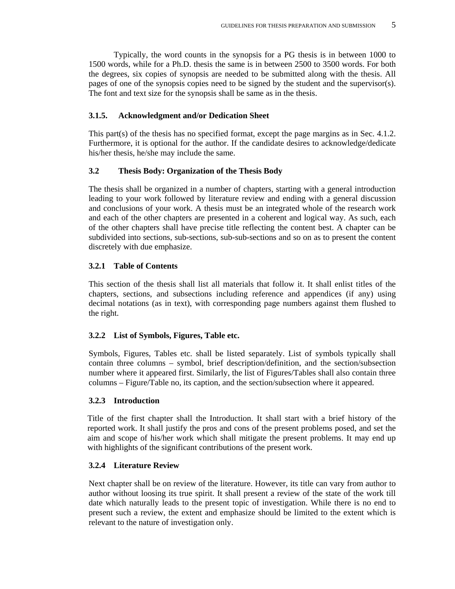Typically, the word counts in the synopsis for a PG thesis is in between 1000 to 1500 words, while for a Ph.D. thesis the same is in between 2500 to 3500 words. For both the degrees, six copies of synopsis are needed to be submitted along with the thesis. All pages of one of the synopsis copies need to be signed by the student and the supervisor(s). The font and text size for the synopsis shall be same as in the thesis.

#### **3.1.5. Acknowledgment and/or Dedication Sheet**

This part(s) of the thesis has no specified format, except the page margins as in Sec. 4.1.2. Furthermore, it is optional for the author. If the candidate desires to acknowledge/dedicate his/her thesis, he/she may include the same.

#### **3.2 Thesis Body: Organization of the Thesis Body**

The thesis shall be organized in a number of chapters, starting with a general introduction leading to your work followed by literature review and ending with a general discussion and conclusions of your work. A thesis must be an integrated whole of the research work and each of the other chapters are presented in a coherent and logical way. As such, each of the other chapters shall have precise title reflecting the content best. A chapter can be subdivided into sections, sub-sections, sub-sub-sections and so on as to present the content discretely with due emphasize.

#### **3.2.1 Table of Contents**

This section of the thesis shall list all materials that follow it. It shall enlist titles of the chapters, sections, and subsections including reference and appendices (if any) using decimal notations (as in text), with corresponding page numbers against them flushed to the right.

#### **3.2.2 List of Symbols, Figures, Table etc.**

Symbols, Figures, Tables etc. shall be listed separately. List of symbols typically shall contain three columns – symbol, brief description/definition, and the section/subsection number where it appeared first. Similarly, the list of Figures/Tables shall also contain three columns – Figure/Table no, its caption, and the section/subsection where it appeared.

#### **3.2.3 Introduction**

Title of the first chapter shall the Introduction. It shall start with a brief history of the reported work. It shall justify the pros and cons of the present problems posed, and set the aim and scope of his/her work which shall mitigate the present problems. It may end up with highlights of the significant contributions of the present work.

#### **3.2.4 Literature Review**

Next chapter shall be on review of the literature. However, its title can vary from author to author without loosing its true spirit. It shall present a review of the state of the work till date which naturally leads to the present topic of investigation. While there is no end to present such a review, the extent and emphasize should be limited to the extent which is relevant to the nature of investigation only.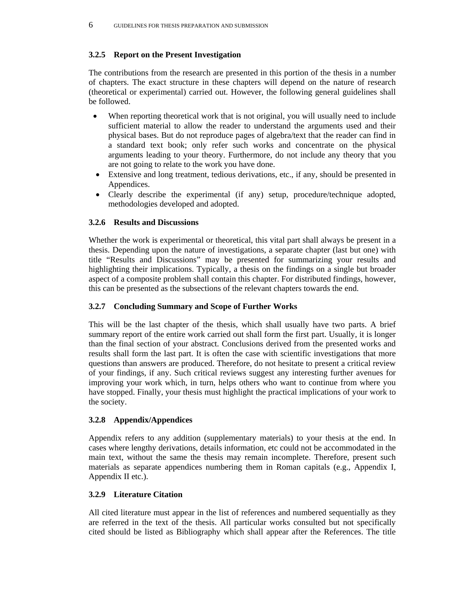# **3.2.5 Report on the Present Investigation**

The contributions from the research are presented in this portion of the thesis in a number of chapters. The exact structure in these chapters will depend on the nature of research (theoretical or experimental) carried out. However, the following general guidelines shall be followed.

- When reporting theoretical work that is not original, you will usually need to include sufficient material to allow the reader to understand the arguments used and their physical bases. But do not reproduce pages of algebra/text that the reader can find in a standard text book; only refer such works and concentrate on the physical arguments leading to your theory. Furthermore, do not include any theory that you are not going to relate to the work you have done.
- Extensive and long treatment, tedious derivations, etc., if any, should be presented in Appendices.
- Clearly describe the experimental (if any) setup, procedure/technique adopted, methodologies developed and adopted.

# **3.2.6 Results and Discussions**

Whether the work is experimental or theoretical, this vital part shall always be present in a thesis. Depending upon the nature of investigations, a separate chapter (last but one) with title "Results and Discussions" may be presented for summarizing your results and highlighting their implications. Typically, a thesis on the findings on a single but broader aspect of a composite problem shall contain this chapter. For distributed findings, however, this can be presented as the subsections of the relevant chapters towards the end.

# **3.2.7 Concluding Summary and Scope of Further Works**

This will be the last chapter of the thesis, which shall usually have two parts. A brief summary report of the entire work carried out shall form the first part. Usually, it is longer than the final section of your abstract. Conclusions derived from the presented works and results shall form the last part. It is often the case with scientific investigations that more questions than answers are produced. Therefore, do not hesitate to present a critical review of your findings, if any. Such critical reviews suggest any interesting further avenues for improving your work which, in turn, helps others who want to continue from where you have stopped. Finally, your thesis must highlight the practical implications of your work to the society.

# **3.2.8 Appendix/Appendices**

Appendix refers to any addition (supplementary materials) to your thesis at the end. In cases where lengthy derivations, details information, etc could not be accommodated in the main text, without the same the thesis may remain incomplete. Therefore, present such materials as separate appendices numbering them in Roman capitals (e.g., Appendix I, Appendix II etc.).

# **3.2.9 Literature Citation**

All cited literature must appear in the list of references and numbered sequentially as they are referred in the text of the thesis. All particular works consulted but not specifically cited should be listed as Bibliography which shall appear after the References. The title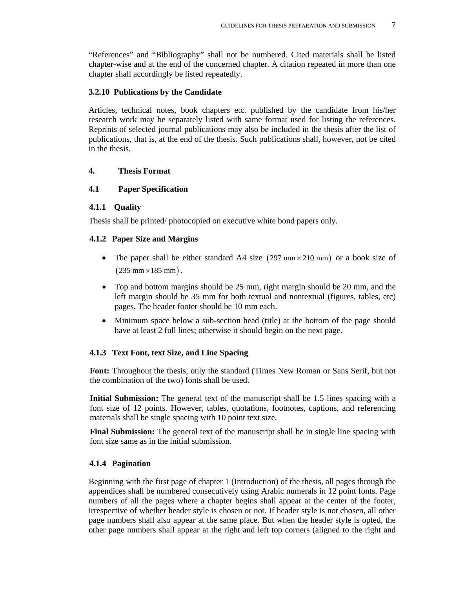"References" and "Bibliography" shall not be numbered. Cited materials shall be listed chapter-wise and at the end of the concerned chapter. A citation repeated in more than one chapter shall accordingly be listed repeatedly.

#### **3.2.10 Publications by the Candidate**

Articles, technical notes, book chapters etc. published by the candidate from his/her research work may be separately listed with same format used for listing the references. Reprints of selected journal publications may also be included in the thesis after the list of publications, that is, at the end of the thesis. Such publications shall, however, not be cited in the thesis.

#### **4. Thesis Format**

#### **4.1 Paper Specification**

#### **4.1.1 Quality**

Thesis shall be printed/ photocopied on executive white bond papers only.

#### **4.1.2 Paper Size and Margins**

- The paper shall be either standard A4 size  $(297 \text{ mm} \times 210 \text{ mm})$  or a book size of  $(235 \text{ mm} \times 185 \text{ mm}).$
- Top and bottom margins should be 25 mm, right margin should be 20 mm, and the left margin should be 35 mm for both textual and nontextual (figures, tables, etc) pages. The header footer should be 10 mm each.
- Minimum space below a sub-section head (title) at the bottom of the page should have at least 2 full lines; otherwise it should begin on the next page.

# **4.1.3 Text Font, text Size, and Line Spacing**

**Font:** Throughout the thesis, only the standard (Times New Roman or Sans Serif, but not the combination of the two) fonts shall be used.

**Initial Submission:** The general text of the manuscript shall be 1.5 lines spacing with a font size of 12 points. However, tables, quotations, footnotes, captions, and referencing materials shall be single spacing with 10 point text size.

**Final Submission:** The general text of the manuscript shall be in single line spacing with font size same as in the initial submission.

#### **4.1.4 Pagination**

Beginning with the first page of chapter 1 (Introduction) of the thesis, all pages through the appendices shall be numbered consecutively using Arabic numerals in 12 point fonts. Page numbers of all the pages where a chapter begins shall appear at the center of the footer, irrespective of whether header style is chosen or not. If header style is not chosen, all other page numbers shall also appear at the same place. But when the header style is opted, the other page numbers shall appear at the right and left top corners (aligned to the right and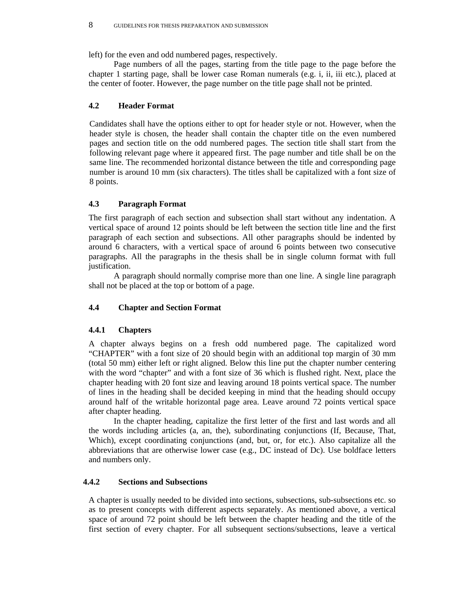left) for the even and odd numbered pages, respectively.

 Page numbers of all the pages, starting from the title page to the page before the chapter 1 starting page, shall be lower case Roman numerals (e.g. i, ii, iii etc.), placed at the center of footer. However, the page number on the title page shall not be printed.

# **4.2 Header Format**

Candidates shall have the options either to opt for header style or not. However, when the header style is chosen, the header shall contain the chapter title on the even numbered pages and section title on the odd numbered pages. The section title shall start from the following relevant page where it appeared first. The page number and title shall be on the same line. The recommended horizontal distance between the title and corresponding page number is around 10 mm (six characters). The titles shall be capitalized with a font size of 8 points.

# **4.3 Paragraph Format**

The first paragraph of each section and subsection shall start without any indentation. A vertical space of around 12 points should be left between the section title line and the first paragraph of each section and subsections. All other paragraphs should be indented by around 6 characters, with a vertical space of around 6 points between two consecutive paragraphs. All the paragraphs in the thesis shall be in single column format with full justification.

 A paragraph should normally comprise more than one line. A single line paragraph shall not be placed at the top or bottom of a page.

# **4.4 Chapter and Section Format**

# **4.4.1 Chapters**

A chapter always begins on a fresh odd numbered page. The capitalized word "CHAPTER" with a font size of 20 should begin with an additional top margin of 30 mm (total 50 mm) either left or right aligned. Below this line put the chapter number centering with the word "chapter" and with a font size of 36 which is flushed right. Next, place the chapter heading with 20 font size and leaving around 18 points vertical space. The number of lines in the heading shall be decided keeping in mind that the heading should occupy around half of the writable horizontal page area. Leave around 72 points vertical space after chapter heading.

In the chapter heading, capitalize the first letter of the first and last words and all the words including articles (a, an, the), subordinating conjunctions (If, Because, That, Which), except coordinating conjunctions (and, but, or, for etc.). Also capitalize all the abbreviations that are otherwise lower case (e.g., DC instead of Dc). Use boldface letters and numbers only.

# **4.4.2 Sections and Subsections**

A chapter is usually needed to be divided into sections, subsections, sub-subsections etc. so as to present concepts with different aspects separately. As mentioned above, a vertical space of around 72 point should be left between the chapter heading and the title of the first section of every chapter. For all subsequent sections/subsections, leave a vertical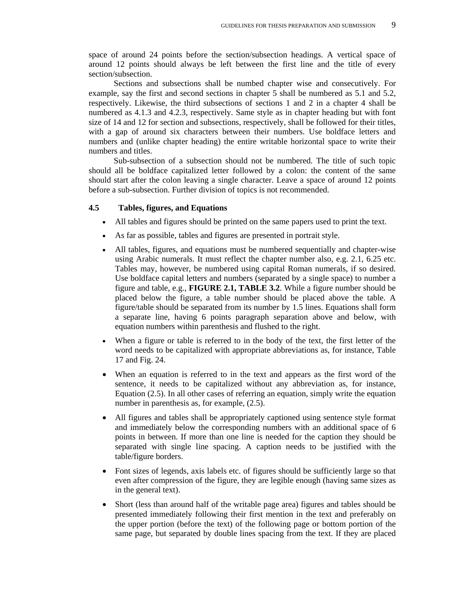space of around 24 points before the section/subsection headings. A vertical space of around 12 points should always be left between the first line and the title of every section/subsection.

Sections and subsections shall be numbed chapter wise and consecutively. For example, say the first and second sections in chapter 5 shall be numbered as 5.1 and 5.2, respectively. Likewise, the third subsections of sections 1 and 2 in a chapter 4 shall be numbered as 4.1.3 and 4.2.3, respectively. Same style as in chapter heading but with font size of 14 and 12 for section and subsections, respectively, shall be followed for their titles, with a gap of around six characters between their numbers. Use boldface letters and numbers and (unlike chapter heading) the entire writable horizontal space to write their numbers and titles.

Sub-subsection of a subsection should not be numbered. The title of such topic should all be boldface capitalized letter followed by a colon: the content of the same should start after the colon leaving a single character. Leave a space of around 12 points before a sub-subsection. Further division of topics is not recommended.

#### **4.5 Tables, figures, and Equations**

- All tables and figures should be printed on the same papers used to print the text.
- As far as possible, tables and figures are presented in portrait style.
- All tables, figures, and equations must be numbered sequentially and chapter-wise using Arabic numerals. It must reflect the chapter number also, e.g. 2.1, 6.25 etc. Tables may, however, be numbered using capital Roman numerals, if so desired. Use boldface capital letters and numbers (separated by a single space) to number a figure and table, e.g., **FIGURE 2.1, TABLE 3.2**. While a figure number should be placed below the figure, a table number should be placed above the table. A figure/table should be separated from its number by 1.5 lines. Equations shall form a separate line, having 6 points paragraph separation above and below, with equation numbers within parenthesis and flushed to the right.
- When a figure or table is referred to in the body of the text, the first letter of the word needs to be capitalized with appropriate abbreviations as, for instance, Table 17 and Fig. 24.
- When an equation is referred to in the text and appears as the first word of the sentence, it needs to be capitalized without any abbreviation as, for instance, Equation (2.5). In all other cases of referring an equation, simply write the equation number in parenthesis as, for example, (2.5).
- All figures and tables shall be appropriately captioned using sentence style format and immediately below the corresponding numbers with an additional space of 6 points in between. If more than one line is needed for the caption they should be separated with single line spacing. A caption needs to be justified with the table/figure borders.
- Font sizes of legends, axis labels etc. of figures should be sufficiently large so that even after compression of the figure, they are legible enough (having same sizes as in the general text).
- Short (less than around half of the writable page area) figures and tables should be presented immediately following their first mention in the text and preferably on the upper portion (before the text) of the following page or bottom portion of the same page, but separated by double lines spacing from the text. If they are placed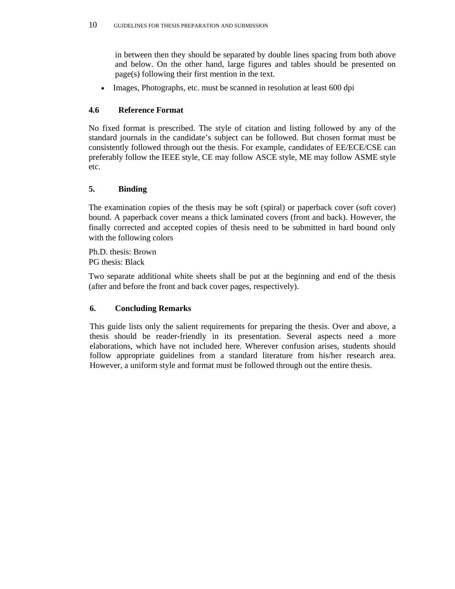in between then they should be separated by double lines spacing from both above and below. On the other hand, large figures and tables should be presented on page(s) following their first mention in the text.

Images, Photographs, etc. must be scanned in resolution at least 600 dpi

# **4.6 Reference Format**

No fixed format is prescribed. The style of citation and listing followed by any of the standard journals in the candidate's subject can be followed. But chosen format must be consistently followed through out the thesis. For example, candidates of EE/ECE/CSE can preferably follow the IEEE style, CE may follow ASCE style, ME may follow ASME style etc.

# **5. Binding**

The examination copies of the thesis may be soft (spiral) or paperback cover (soft cover) bound. A paperback cover means a thick laminated covers (front and back). However, the finally corrected and accepted copies of thesis need to be submitted in hard bound only with the following colors

Ph.D. thesis: Brown PG thesis: Black

Two separate additional white sheets shall be put at the beginning and end of the thesis (after and before the front and back cover pages, respectively).

# **6. Concluding Remarks**

This guide lists only the salient requirements for preparing the thesis. Over and above, a thesis should be reader-friendly in its presentation. Several aspects need a more elaborations, which have not included here. Wherever confusion arises, students should follow appropriate guidelines from a standard literature from his/her research area. However, a uniform style and format must be followed through out the entire thesis.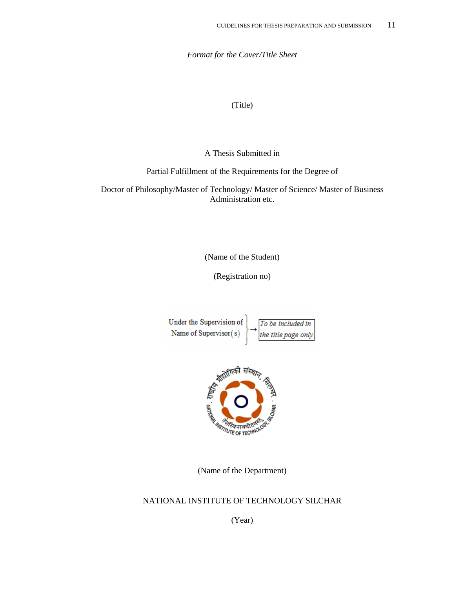*Format for the Cover/Title Sheet* 

(Title)

A Thesis Submitted in

Partial Fulfillment of the Requirements for the Degree of

Doctor of Philosophy/Master of Technology/ Master of Science/ Master of Business Administration etc.

(Name of the Student)

(Registration no)





(Name of the Department)

#### NATIONAL INSTITUTE OF TECHNOLOGY SILCHAR

(Year)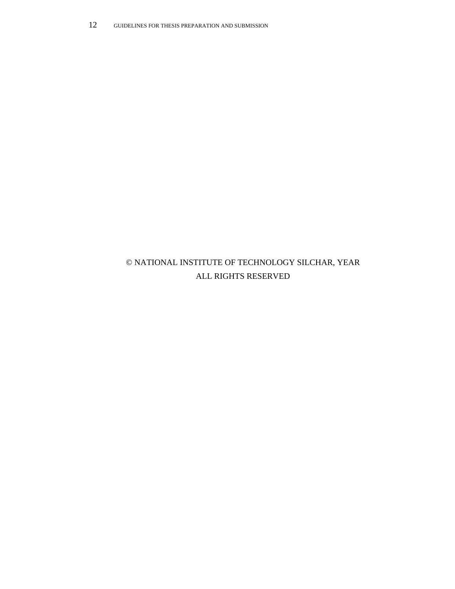# © NATIONAL INSTITUTE OF TECHNOLOGY SILCHAR, YEAR ALL RIGHTS RESERVED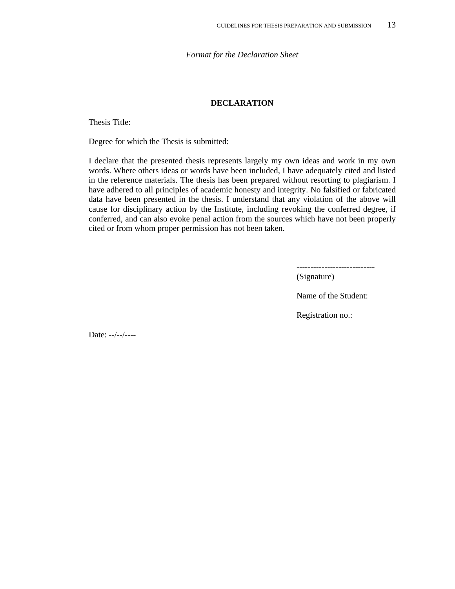*Format for the Declaration Sheet* 

#### **DECLARATION**

Thesis Title:

Degree for which the Thesis is submitted:

I declare that the presented thesis represents largely my own ideas and work in my own words. Where others ideas or words have been included, I have adequately cited and listed in the reference materials. The thesis has been prepared without resorting to plagiarism. I have adhered to all principles of academic honesty and integrity. No falsified or fabricated data have been presented in the thesis. I understand that any violation of the above will cause for disciplinary action by the Institute, including revoking the conferred degree, if conferred, and can also evoke penal action from the sources which have not been properly cited or from whom proper permission has not been taken.

----------------------------

(Signature)

Name of the Student:

Registration no.:

Date: --/--/----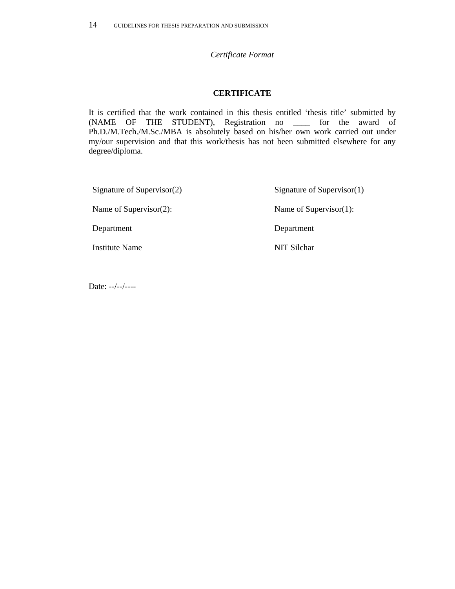#### *Certificate Format*

#### **CERTIFICATE**

It is certified that the work contained in this thesis entitled 'thesis title' submitted by (NAME OF THE STUDENT), Registration no \_\_\_\_ for the award of Ph.D./M.Tech./M.Sc./MBA is absolutely based on his/her own work carried out under my/our supervision and that this work/thesis has not been submitted elsewhere for any degree/diploma.

| Signature of Supervisor $(2)$ | Signature of Supervisor $(1)$ |
|-------------------------------|-------------------------------|
| Name of Supervisor $(2)$ :    | Name of Supervisor $(1)$ :    |
| Department                    | Department                    |
| Institute Name                | NIT Silchar                   |

Date: --/--/----